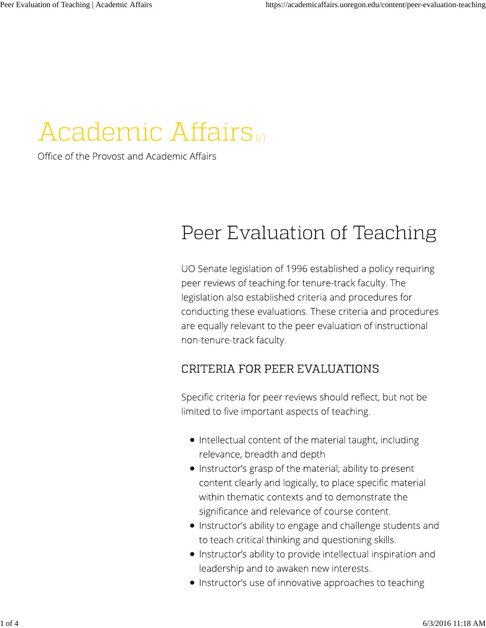# Academic Affairs

Office of the Provost and Academic Affairs

## Peer Evaluation of Teaching

UO Senate legislation of 1996 established a policy requiring peer reviews of teaching for tenure-track faculty. The legislation also established criteria and procedures for conducting these evaluations. These criteria and procedures are equally relevant to the peer evaluation of instructional non-tenure-track faculty.

### CRITERIA FOR PEER EVALUATIONS

Specific criteria for peer reviews should reflect, but not be limited to five important aspects of teaching.

- Intellectual content of the material taught, including relevance, breadth and depth
- Instructor's grasp of the material; ability to present content clearly and logically, to place specific material within thematic contexts and to demonstrate the significance and relevance of course content.
- Instructor's ability to engage and challenge students and to teach critical thinking and questioning skills.
- Instructor's ability to provide intellectual inspiration and leadership and to awaken new interests.
- Instructor's use of innovative approaches to teaching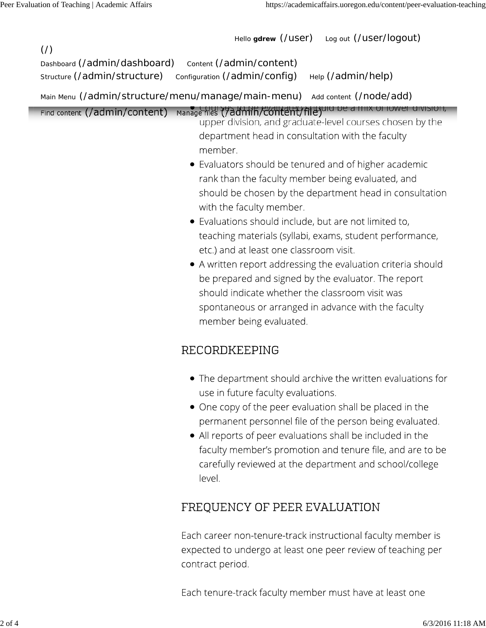$($  $/$  $)$ 

Hello **gdrew** (/user) Log out (/user/logout)

Dashboard (/admin/dashboard) content (/admin/content) Structure (/admin/structure) configuration (/admin/config) Help (/admin/help)

Main Menu (/admin/structure/menu/manage/main-menu) Add content (/node/add)

Find content (/admin/content) Manage files (/admi/h/content/file) and De a rinx of lower division,

- upper division, and graduate-level courses chosen by the department head in consultation with the faculty member.
- $\bullet$  Evaluators should be tenured and of higher academic rank than the faculty member being evaluated, and should be chosen by the department head in consultation with the faculty member.
- · Evaluations should include, but are not limited to, teaching materials (syllabi, exams, student performance, etc.) and at least one classroom visit.
- A written report addressing the evaluation criteria should be prepared and signed by the evaluator. The report should indicate whether the classroom visit was spontaneous or arranged in advance with the faculty member being evaluated.

#### RECORDKEEPING

- The department should archive the written evaluations for use in future faculty evaluations.
- One copy of the peer evaluation shall be placed in the permanent personnel file of the person being evaluated.
- All reports of peer evaluations shall be included in the faculty member's promotion and tenure file, and are to be carefully reviewed at the department and school/college level.

### FREQUENCY OF PEER EVALUATION

Each career non-tenure-track instructional faculty member is expected to undergo at least one peer review of teaching per contract period.

Each tenure-track faculty member must have at least one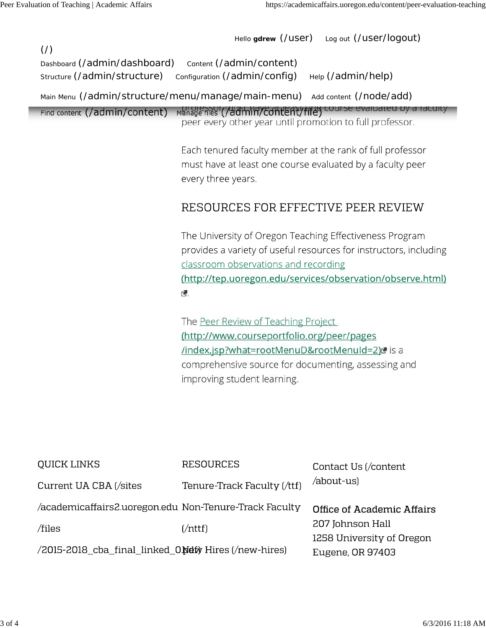Hello **gdrew** (/user) Log out (/user/logout)  $($  $/$  $)$ Dashboard (/admin/dashboard) Content (/admin/content) Structure (/admin/structure) configuration (/admin/config) Help (/admin/help) Main Menu (/admin/structure/menu/manage/main-menu) Add content (/node/add) Find content (/admin/content) Manage files (/admin/content) Content (/admin/content (/admin/content) peer every other year until promotion to full professor. Each tenured faculty member at the rank of full professor must have at least one course evaluated by a faculty peer every three years. RESOURCES FOR EFFECTIVE PEER REVIEW The University of Oregon Teaching Effectiveness Program provides a variety of useful resources for instructors, including classroom observations and recording (http://tep.uoregon.edu/services/observation/observe.html) C. The Peer Review of Teaching Project (http://www.courseportfolio.org/peer/pages /index.jsp?what=rootMenuD&rootMenuId=2)d is a comprehensive source for documenting, assessing and improving student learning.

| QUICK LINKS                                            | <b>RESOURCES</b>            | Contact Us (/content                          |
|--------------------------------------------------------|-----------------------------|-----------------------------------------------|
| Current UA CBA (/sites                                 | Tenure-Track Faculty (/ttf) | /about-us)                                    |
| /academicaffairs2.uoregon.edu Non-Tenure-Track Faculty |                             | Office of Academic Affairs                    |
| /files                                                 | $[ / \text{nttf} ]$         | 207 Johnson Hall<br>1258 University of Oregon |
| /2015-2018_cba_final_linked_0Netly Hires (/new-hires)  |                             | Eugene, OR 97403                              |